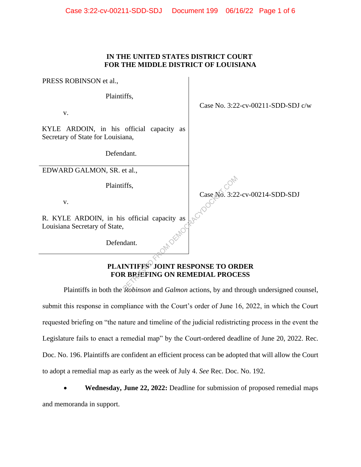## **IN THE UNITED STATES DISTRICT COURT FOR THE MIDDLE DISTRICT OF LOUISIANA**

PRESS ROBINSON et al.,

Plaintiffs,

v.

KYLE ARDOIN, in his official capacity as Secretary of State for Louisiana,

Defendant.

EDWARD GALMON, SR. et al.,

Plaintiffs,

v.

Case No. 3:22-cv-00214-SDD-SDJ

Case No. 3:22-cv-00211-SDD-SDJ c/w

R. KYLE ARDOIN, in his official capacity as Louisiana Secretary of State,

Defendant.

## **PLAINTIFFS' JOINT RESPONSE TO ORDER FOR BRIEFING ON REMEDIAL PROCESS** FROM DEMOCRACY CALCULUS CALCULUS CALCULUS CALCULUS CALCULUS CALCULUS CALCULUS CALCULUS CALCULUS CALCULUS CALCULUS CALCULUS CALCULUS CALCULUS CALCULUS CALCULUS CALCULUS CALCULUS CALCULUS CALCULUS CALCULUS CALCULUS CALCULUS

Plaintiffs in both the *Robinson* and *Galmon* actions, by and through undersigned counsel, submit this response in compliance with the Court's order of June 16, 2022, in which the Court requested briefing on "the nature and timeline of the judicial redistricting process in the event the Legislature fails to enact a remedial map" by the Court-ordered deadline of June 20, 2022. Rec. Doc. No. 196. Plaintiffs are confident an efficient process can be adopted that will allow the Court to adopt a remedial map as early as the week of July 4. *See* Rec. Doc. No. 192.

• **Wednesday, June 22, 2022:** Deadline for submission of proposed remedial maps and memoranda in support.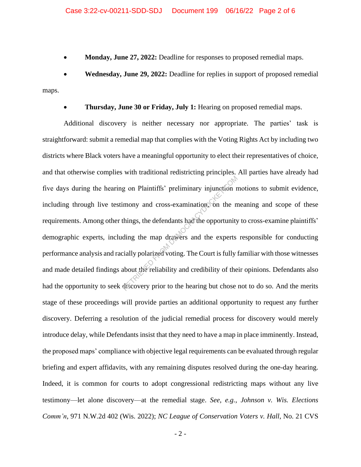• **Monday, June 27, 2022:** Deadline for responses to proposed remedial maps.

• **Wednesday, June 29, 2022:** Deadline for replies in support of proposed remedial maps.

• **Thursday, June 30 or Friday, July 1:** Hearing on proposed remedial maps.

Additional discovery is neither necessary nor appropriate. The parties' task is straightforward: submit a remedial map that complies with the Voting Rights Act by including two districts where Black voters have a meaningful opportunity to elect their representatives of choice, and that otherwise complies with traditional redistricting principles. All parties have already had five days during the hearing on Plaintiffs' preliminary injunction motions to submit evidence, including through live testimony and cross-examination, on the meaning and scope of these requirements. Among other things, the defendants had the opportunity to cross-examine plaintiffs' demographic experts, including the map drawers and the experts responsible for conducting performance analysis and racially polarized voting. The Court is fully familiar with those witnesses and made detailed findings about the reliability and credibility of their opinions. Defendants also had the opportunity to seek discovery prior to the hearing but chose not to do so. And the merits stage of these proceedings will provide parties an additional opportunity to request any further discovery. Deferring a resolution of the judicial remedial process for discovery would merely introduce delay, while Defendants insist that they need to have a map in place imminently. Instead, the proposed maps' compliance with objective legal requirements can be evaluated through regular briefing and expert affidavits, with any remaining disputes resolved during the one-day hearing. Indeed, it is common for courts to adopt congressional redistricting maps without any live testimony—let alone discovery—at the remedial stage. *See, e.g.*, *Johnson v. Wis. Elections Comm'n*, 971 N.W.2d 402 (Wis. 2022); *NC League of Conservation Voters v. Hall*, No. 21 CVS g on Plaintiffs' preliminary injunction r<br>
mony and cross-examination on the n<br>
things, the defendants had the opportunity<br>
ding the map drawers and the experts<br>
ially polarized voting. The Court is fully<br>
about the reliab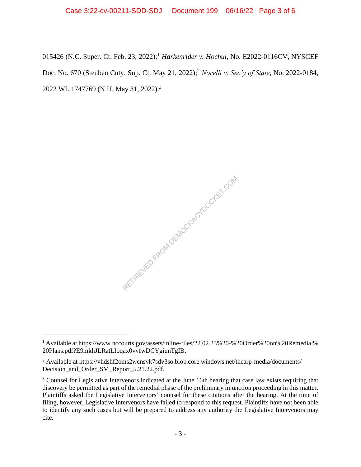015426 (N.C. Super. Ct. Feb. 23, 2022); <sup>1</sup> *Harkenrider v. Hochul*, No. E2022-0116CV, NYSCEF Doc. No. 670 (Steuben Cnty. Sup. Ct. May 21, 2022); <sup>2</sup> *Norelli v. Sec'y of State*, No. 2022-0184, 2022 WL 1747769 (N.H. May 31, 2022).<sup>3</sup>

RETRIEVED FROM DEMOCRACYDOCKET.COM

<sup>&</sup>lt;sup>1</sup> Available at https://www.nccourts.gov/assets/inline-files/22.02.23%20-%20Order%20on%20Remedial% 20Plans.pdf?E9mkhJLRatLIbqax0vvfwDCYgiunTgIB.

<sup>2</sup> Available at https://vhdshf2oms2wcnsvk7sdv3so.blob.core.windows.net/thearp-media/documents/ Decision\_and\_Order\_SM\_Report\_5.21.22.pdf.

<sup>&</sup>lt;sup>3</sup> Counsel for Legislative Intervenors indicated at the June 16th hearing that case law exists requiring that discovery be permitted as part of the remedial phase of the preliminary injunction proceeding in this matter. Plaintiffs asked the Legislative Intervenors' counsel for these citations after the hearing. At the time of filing, however, Legislative Intervenors have failed to respond to this request. Plaintiffs have not been able to identify any such cases but will be prepared to address any authority the Legislative Intervenors may cite.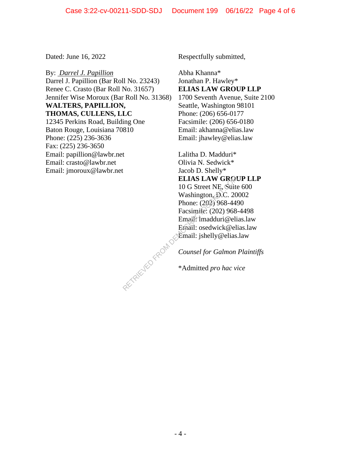Email: jmoroux@lawbr.net

By: *Darrel J. Papillion* Darrel J. Papillion (Bar Roll No. 23243) Renee C. Crasto (Bar Roll No. 31657) Jennifer Wise Moroux (Bar Roll No. 31368) **WALTERS, PAPILLION, THOMAS, CULLENS, LLC** 12345 Perkins Road, Building One Baton Rouge, Louisiana 70810 Phone: (225) 236-3636 Fax: (225) 236-3650 Email: papillion@lawbr.net Email: crasto@lawbr.net

Dated: June 16, 2022 Respectfully submitted,

Abha Khanna\* Jonathan P. Hawley\* **ELIAS LAW GROUP LLP** 1700 Seventh Avenue, Suite 2100 Seattle, Washington 98101 Phone: (206) 656-0177 Facsimile: (206) 656-0180 Email: akhanna@elias.law Email: jhawley@elias.law

Lalitha D. Madduri\* Olivia N. Sedwick\* Jacob D. Shelly\* **ELIAS LAW GROUP LLP** 10 G Street NE, Suite 600 Washington,  $\Omega$ .C. 20002 Phone: (202) 968-4490 Facsimile: (202) 968-4498 Email: lmadduri@elias.law Email: osedwick@elias.law Email: jshelly@elias.law ELIAS LAW GROM<br>
10 G Street NE, Suite<br>
Washington, D.C. 20<br>
Phone: (202) 968-444<br>
Facsimile: (202) 968-444<br>
Facsimile: (202) 968-<br>
Email: Ishelly@elias<br>
Email: jshelly@elias<br>
Counsel for Galmon<br>
\*Admitted pro hac vi

*Counsel for Galmon Plaintiffs*

\*Admitted *pro hac vice*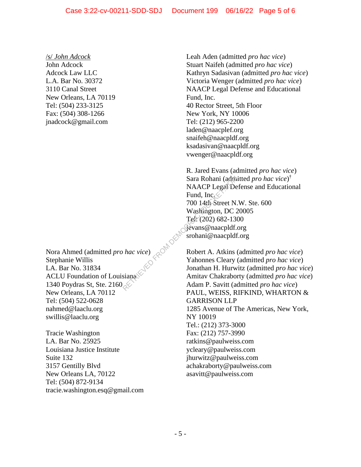/s/ *John Adcock* John Adcock Adcock Law LLC L.A. Bar No. 30372 3110 Canal Street New Orleans, LA 70119 Tel: (504) 233-3125 Fax: (504) 308-1266 jnadcock@gmail.com

Nora Ahmed (admitted *pro hac vice*) Stephanie Willis LA. Bar No. 31834 ACLU Foundation of Louisiana 1340 Poydras St, Ste. 2160 New Orleans, LA 70112 Tel: (504) 522-0628 nahmed@laaclu.org swillis@laaclu.org

Tracie Washington LA. Bar No. 25925 Louisiana Justice Institute Suite 132 3157 Gentilly Blvd New Orleans LA, 70122 Tel: (504) 872-9134 tracie.washington.esq@gmail.com Leah Aden (admitted *pro hac vice*) Stuart Naifeh (admitted *pro hac vice*) Kathryn Sadasivan (admitted *pro hac vice*) Victoria Wenger (admitted *pro hac vice*) NAACP Legal Defense and Educational Fund, Inc. 40 Rector Street, 5th Floor New York, NY 10006 Tel: (212) 965-2200 laden@naacplef.org snaifeh@naacpldf.org ksadasivan@naacpldf.org vwenger@naacpldf.org

R. Jared Evans (admitted *pro hac vice*) Sara Rohani (admitted *pro hac vice*) † NAACP Legal Defense and Educational Fund, Inc. 700 14th Street N.W. Ste. 600 Washington, DC 20005 Tel: (202) 682-1300 jevans@naacpldf.org srohani@naacpldf.org Sara Rohani (adm. NAACP Legal De<br>
Fund, Inc. (2014)<br>
Fund, Inc. (2014)<br>
700 14th Street N.<br>
Washington, DC 2<br>
Tel: (202) 682-130<br>
Gevans @naacpldf.<br>
Single Schani @naacpldf.<br>
Single Schani @naacpldf<br>
Robert A. Atkins (2015

Robert A. Atkins (admitted *pro hac vice*) Yahonnes Cleary (admitted *pro hac vice*) Jonathan H. Hurwitz (admitted *pro hac vice*) Amitav Chakraborty (admitted *pro hac vice*) Adam P. Savitt (admitted *pro hac vice*) PAUL, WEISS, RIFKIND, WHARTON & GARRISON LLP 1285 Avenue of The Americas, New York, NY 10019 Tel.: (212) 373-3000 Fax: (212) 757-3990 ratkins@paulweiss.com ycleary@paulweiss.com jhurwitz@paulweiss.com achakraborty@paulweiss.com asavitt@paulweiss.com